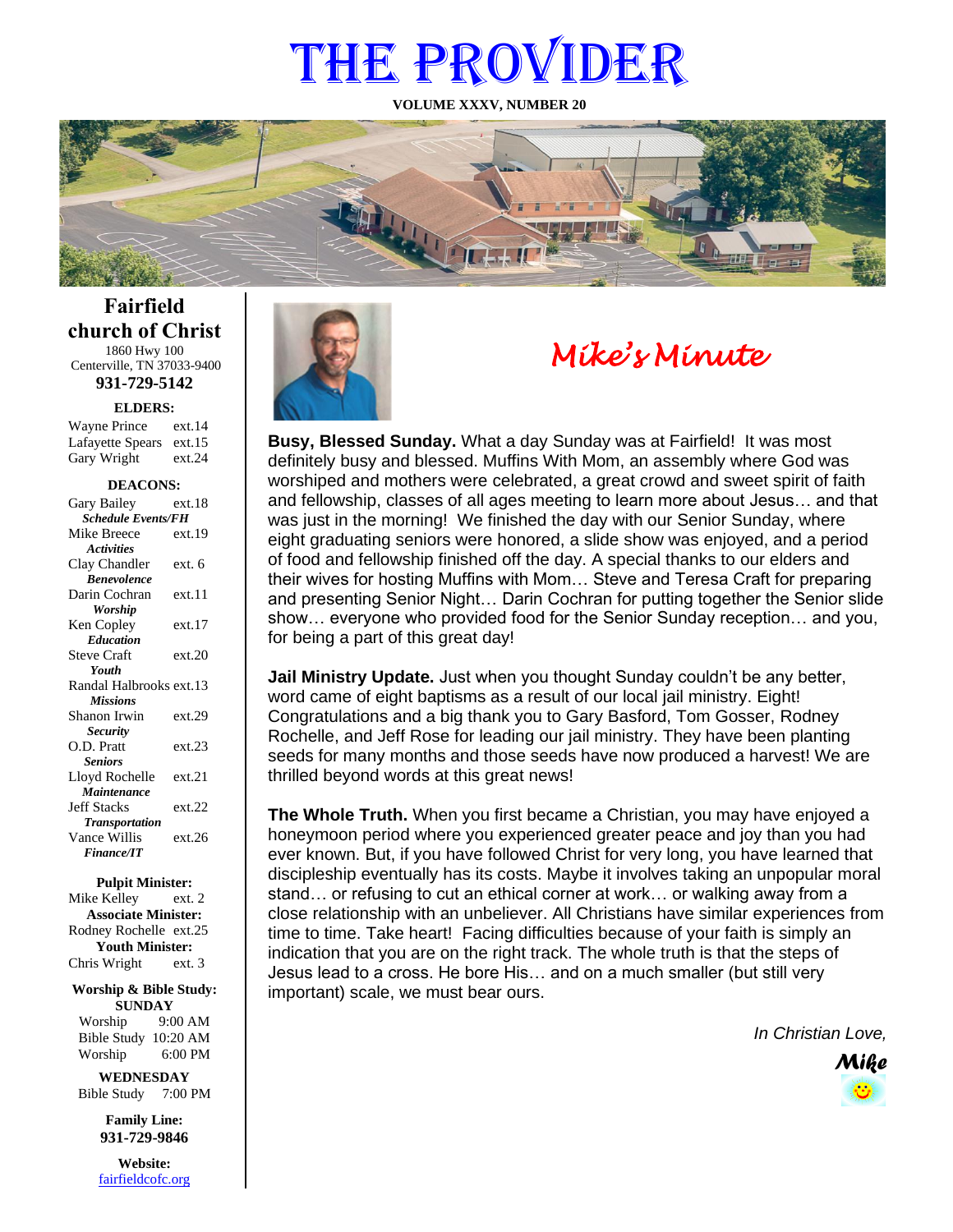# THE PROVIDER

**VOLUME XXXV, NUMBER 20**



**Fairfield church of Christ** 1860 Hwy 100 Centerville, TN 37033-9400

**931-729-5142**

**ELDERS:**

Gary Wright ext.24 Wayne Prince ext.14 Lafayette Spears ext.15

#### **DEACONS:**

| Gary Bailey               | ext.18 |  |
|---------------------------|--------|--|
| <b>Schedule Events/FH</b> |        |  |
| Mike Breece               | ext.19 |  |
| <b>Activities</b>         |        |  |
| Clay Chandler             | ext. 6 |  |
| <b>Benevolence</b>        |        |  |
| Darin Cochran             | ext.11 |  |
| <b>Worship</b>            |        |  |
| Ken Copley                | ext.17 |  |
| <b>Education</b>          |        |  |
| <b>Steve Craft</b>        | ext.20 |  |
| Youth                     |        |  |
| Randal Halbrooks ext.13   |        |  |
| <b>Missions</b>           |        |  |
| Shanon Irwin              | ext.29 |  |
| <b>Security</b>           |        |  |
| O.D. Pratt                | ext.23 |  |
| <b>Seniors</b>            |        |  |
| Lloyd Rochelle            | ext.21 |  |
| Maintenance               |        |  |
| <b>Jeff Stacks</b>        | ext.22 |  |
| <b>Transportation</b>     |        |  |
| Vance Willis              | ext.26 |  |
| <b>Finance/IT</b>         |        |  |

#### **Pulpit Minister:**

Mike Kelley ext. 2 **Associate Minister:** Rodney Rochelle ext.25 **Youth Minister:** Chris Wright ext. 3

### **Worship & Bible Study: SUNDAY**

Worship 9:00 AM Bible Study 10:20 AM Worship 6:00 PM

**WEDNESDAY** Bible Study 7:00 PM

> **Family Line: 931-729-9846**

**Website:** [fairfieldcofc.org](file:///C:/Users/RickJoyce/Documents/Fairfield%20Website%20Files/fairfieldchurchofchrist.org)



## *Mike's Minute*

**Busy, Blessed Sunday.** What a day Sunday was at Fairfield! It was most definitely busy and blessed. Muffins With Mom, an assembly where God was worshiped and mothers were celebrated, a great crowd and sweet spirit of faith and fellowship, classes of all ages meeting to learn more about Jesus… and that was just in the morning! We finished the day with our Senior Sunday, where eight graduating seniors were honored, a slide show was enjoyed, and a period of food and fellowship finished off the day. A special thanks to our elders and their wives for hosting Muffins with Mom… Steve and Teresa Craft for preparing and presenting Senior Night… Darin Cochran for putting together the Senior slide show… everyone who provided food for the Senior Sunday reception… and you, for being a part of this great day!

**Jail Ministry Update.** Just when you thought Sunday couldn't be any better, word came of eight baptisms as a result of our local jail ministry. Eight! Congratulations and a big thank you to Gary Basford, Tom Gosser, Rodney Rochelle, and Jeff Rose for leading our jail ministry. They have been planting seeds for many months and those seeds have now produced a harvest! We are thrilled beyond words at this great news!

**The Whole Truth.** When you first became a Christian, you may have enjoyed a honeymoon period where you experienced greater peace and joy than you had ever known. But, if you have followed Christ for very long, you have learned that discipleship eventually has its costs. Maybe it involves taking an unpopular moral stand… or refusing to cut an ethical corner at work… or walking away from a close relationship with an unbeliever. All Christians have similar experiences from time to time. Take heart! Facing difficulties because of your faith is simply an indication that you are on the right track. The whole truth is that the steps of Jesus lead to a cross. He bore His… and on a much smaller (but still very important) scale, we must bear ours.

*In Christian Love,*

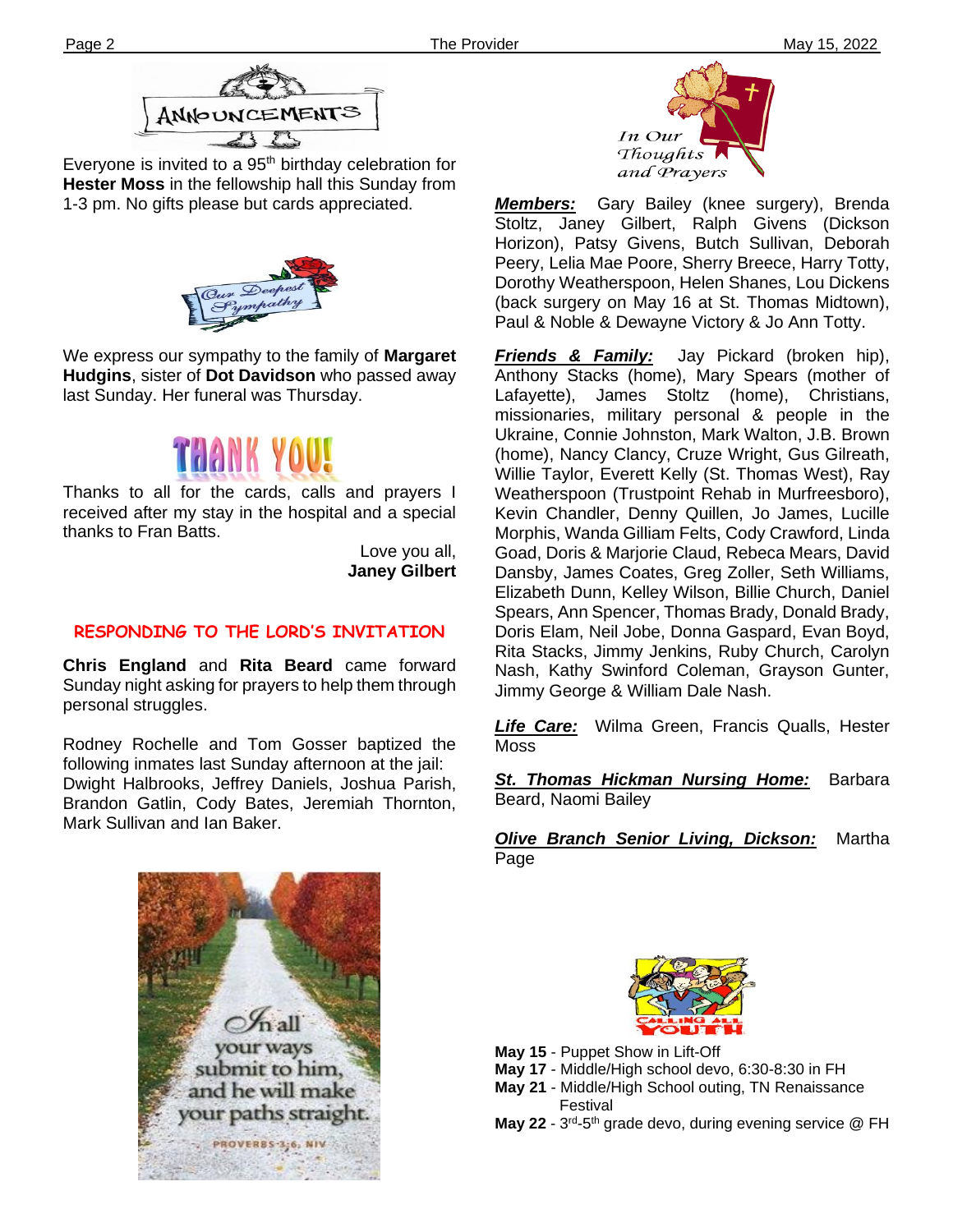

Everyone is invited to a  $95<sup>th</sup>$  birthday celebration for **Hester Moss** in the fellowship hall this Sunday from 1-3 pm. No gifts please but cards appreciated.



We express our sympathy to the family of **Margaret Hudgins**, sister of **Dot Davidson** who passed away last Sunday. Her funeral was Thursday.



Thanks to all for the cards, calls and prayers I received after my stay in the hospital and a special thanks to Fran Batts.

> Love you all, **Janey Gilbert**

## **RESPONDING TO THE LORD'S INVITATION**

**Chris England** and **Rita Beard** came forward Sunday night asking for prayers to help them through personal struggles.

Rodney Rochelle and Tom Gosser baptized the following inmates last Sunday afternoon at the jail: Dwight Halbrooks, Jeffrey Daniels, Joshua Parish, Brandon Gatlin, Cody Bates, Jeremiah Thornton, Mark Sullivan and Ian Baker.





*Members:* Gary Bailey (knee surgery), Brenda Stoltz, Janey Gilbert, Ralph Givens (Dickson Horizon), Patsy Givens, Butch Sullivan, Deborah Peery, Lelia Mae Poore, Sherry Breece, Harry Totty, Dorothy Weatherspoon, Helen Shanes, Lou Dickens (back surgery on May 16 at St. Thomas Midtown), Paul & Noble & Dewayne Victory & Jo Ann Totty.

*Friends & Family:* Jay Pickard (broken hip), Anthony Stacks (home), Mary Spears (mother of Lafayette), James Stoltz (home), Christians, missionaries, military personal & people in the Ukraine, Connie Johnston, Mark Walton, J.B. Brown (home), Nancy Clancy, Cruze Wright, Gus Gilreath, Willie Taylor, Everett Kelly (St. Thomas West), Ray Weatherspoon (Trustpoint Rehab in Murfreesboro), Kevin Chandler, Denny Quillen, Jo James, Lucille Morphis, Wanda Gilliam Felts, Cody Crawford, Linda Goad, Doris & Marjorie Claud, Rebeca Mears, David Dansby, James Coates, Greg Zoller, Seth Williams, Elizabeth Dunn, Kelley Wilson, Billie Church, Daniel Spears, Ann Spencer, Thomas Brady, Donald Brady, Doris Elam, Neil Jobe, Donna Gaspard, Evan Boyd, Rita Stacks, Jimmy Jenkins, Ruby Church, Carolyn Nash, Kathy Swinford Coleman, Grayson Gunter, Jimmy George & William Dale Nash.

*Life Care:* Wilma Green, Francis Qualls, Hester Moss

*St. Thomas Hickman Nursing Home:* Barbara Beard, Naomi Bailey

*Olive Branch Senior Living, Dickson:* Martha Page



- **May 15** Puppet Show in Lift-Off
- **May 17** Middle/High school devo, 6:30-8:30 in FH
- **May 21** Middle/High School outing, TN Renaissance Festival
- May 22 3<sup>rd</sup>-5<sup>th</sup> grade devo, during evening service @ FH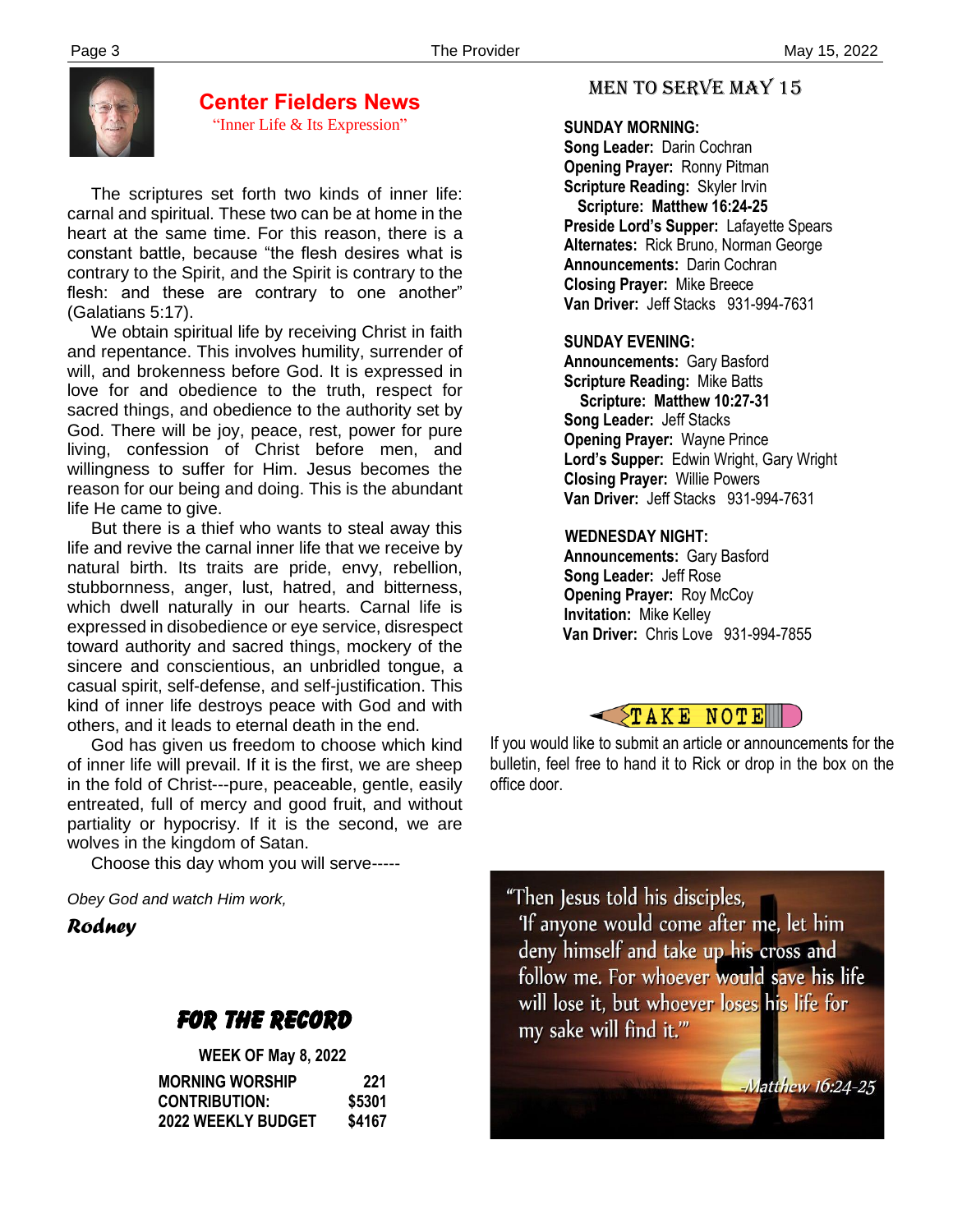

## **Center Fielders News**

"Inner Life & Its Expression"

 The scriptures set forth two kinds of inner life: carnal and spiritual. These two can be at home in the heart at the same time. For this reason, there is a constant battle, because "the flesh desires what is contrary to the Spirit, and the Spirit is contrary to the flesh: and these are contrary to one another" (Galatians 5:17).

 We obtain spiritual life by receiving Christ in faith and repentance. This involves humility, surrender of will, and brokenness before God. It is expressed in love for and obedience to the truth, respect for sacred things, and obedience to the authority set by God. There will be joy, peace, rest, power for pure living, confession of Christ before men, and willingness to suffer for Him. Jesus becomes the reason for our being and doing. This is the abundant life He came to give.

 But there is a thief who wants to steal away this life and revive the carnal inner life that we receive by natural birth. Its traits are pride, envy, rebellion, stubbornness, anger, lust, hatred, and bitterness, which dwell naturally in our hearts. Carnal life is expressed in disobedience or eye service, disrespect toward authority and sacred things, mockery of the sincere and conscientious, an unbridled tongue, a casual spirit, self-defense, and self-justification. This kind of inner life destroys peace with God and with others, and it leads to eternal death in the end.

 God has given us freedom to choose which kind of inner life will prevail. If it is the first, we are sheep in the fold of Christ---pure, peaceable, gentle, easily entreated, full of mercy and good fruit, and without partiality or hypocrisy. If it is the second, we are wolves in the kingdom of Satan.

Choose this day whom you will serve-----

*Obey God and watch Him work,*

*Rodney*

## FOR THE RECORD

| <b>WEEK OF May 8, 2022</b> |        |
|----------------------------|--------|
| <b>MORNING WORSHIP</b>     | 221    |
| <b>CONTRIBUTION:</b>       | \$5301 |
| 2022 WEEKLY BUDGET         | \$4167 |

## MEN TO SERVE may 15

## **SUNDAY MORNING:**

**Song Leader:** Darin Cochran  **Opening Prayer:** Ronny Pitman **Scripture Reading:** Skyler Irvin  **Scripture: Matthew 16:24-25 Preside Lord's Supper:** Lafayette Spears  **Alternates:** Rick Bruno, Norman George  **Announcements:** Darin Cochran  **Closing Prayer:** Mike Breece **Van Driver:** Jeff Stacks 931-994-7631

## **SUNDAY EVENING:**

**Announcements:** Gary Basford **Scripture Reading:** Mike Batts  **Scripture: Matthew 10:27-31 Song Leader:** Jeff Stacks **Opening Prayer:** Wayne Prince **Lord's Supper:** Edwin Wright, Gary Wright **Closing Prayer:** Willie Powers **Van Driver:** Jeff Stacks 931-994-7631

## **WEDNESDAY NIGHT:**

**Announcements:** Gary Basford **Song Leader:** Jeff Rose **Opening Prayer: Roy McCoy Invitation:** Mike Kelley  **Van Driver:** Chris Love 931-994-7855



If you would like to submit an article or announcements for the bulletin, feel free to hand it to Rick or drop in the box on the office door.